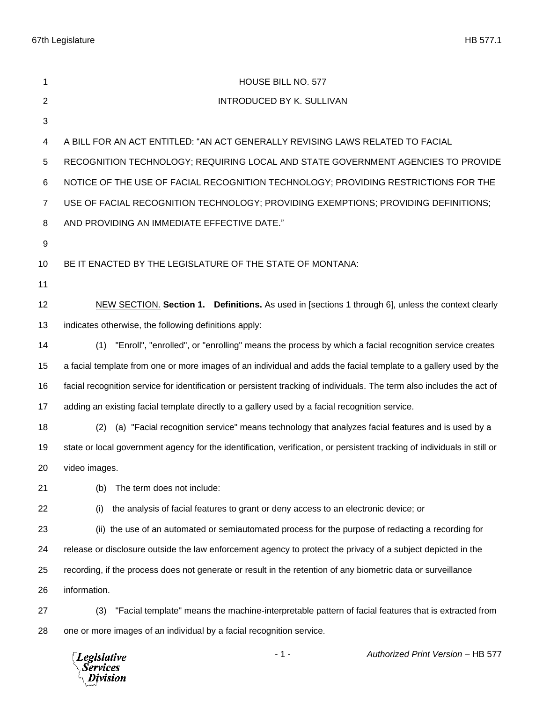67th Legislature HB 577.1

| 1              | HOUSE BILL NO. 577                                                                                                       |
|----------------|--------------------------------------------------------------------------------------------------------------------------|
| $\mathbf{2}$   | <b>INTRODUCED BY K. SULLIVAN</b>                                                                                         |
| 3              |                                                                                                                          |
| 4              | A BILL FOR AN ACT ENTITLED: "AN ACT GENERALLY REVISING LAWS RELATED TO FACIAL                                            |
| 5              | RECOGNITION TECHNOLOGY; REQUIRING LOCAL AND STATE GOVERNMENT AGENCIES TO PROVIDE                                         |
| 6              | NOTICE OF THE USE OF FACIAL RECOGNITION TECHNOLOGY; PROVIDING RESTRICTIONS FOR THE                                       |
| $\overline{7}$ | USE OF FACIAL RECOGNITION TECHNOLOGY; PROVIDING EXEMPTIONS; PROVIDING DEFINITIONS;                                       |
| 8              | AND PROVIDING AN IMMEDIATE EFFECTIVE DATE."                                                                              |
| 9              |                                                                                                                          |
| 10             | BE IT ENACTED BY THE LEGISLATURE OF THE STATE OF MONTANA:                                                                |
| 11             |                                                                                                                          |
| 12             | NEW SECTION. Section 1. Definitions. As used in [sections 1 through 6], unless the context clearly                       |
| 13             | indicates otherwise, the following definitions apply:                                                                    |
| 14             | "Enroll", "enrolled", or "enrolling" means the process by which a facial recognition service creates<br>(1)              |
| 15             | a facial template from one or more images of an individual and adds the facial template to a gallery used by the         |
| 16             | facial recognition service for identification or persistent tracking of individuals. The term also includes the act of   |
| 17             | adding an existing facial template directly to a gallery used by a facial recognition service.                           |
| 18             | (a) "Facial recognition service" means technology that analyzes facial features and is used by a<br>(2)                  |
| 19             | state or local government agency for the identification, verification, or persistent tracking of individuals in still or |
| 20             | video images.                                                                                                            |
| 21             | The term does not include:<br>(b)                                                                                        |
| 22             | the analysis of facial features to grant or deny access to an electronic device; or<br>(i)                               |
| 23             | (ii) the use of an automated or semiautomated process for the purpose of redacting a recording for                       |
| 24             | release or disclosure outside the law enforcement agency to protect the privacy of a subject depicted in the             |
| 25             | recording, if the process does not generate or result in the retention of any biometric data or surveillance             |
| 26             | information.                                                                                                             |
| 27             | "Facial template" means the machine-interpretable pattern of facial features that is extracted from<br>(3)               |
| 28             | one or more images of an individual by a facial recognition service.                                                     |
|                |                                                                                                                          |

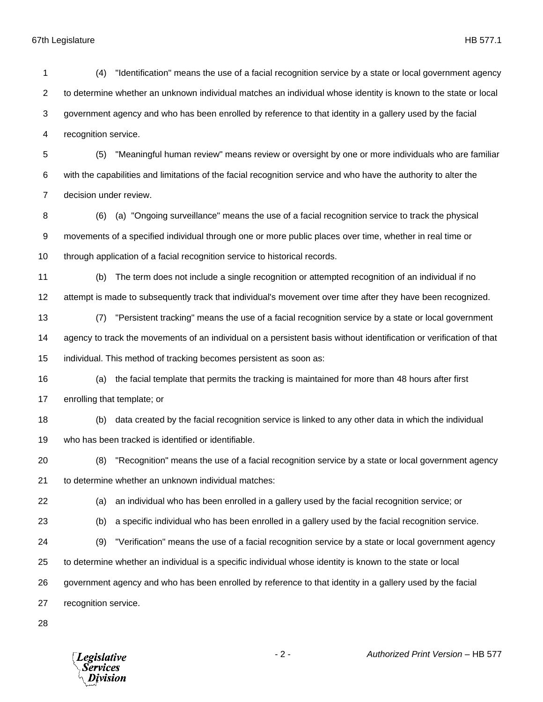67th Legislature HB 577.1

 (4) "Identification" means the use of a facial recognition service by a state or local government agency to determine whether an unknown individual matches an individual whose identity is known to the state or local government agency and who has been enrolled by reference to that identity in a gallery used by the facial recognition service. (5) "Meaningful human review" means review or oversight by one or more individuals who are familiar with the capabilities and limitations of the facial recognition service and who have the authority to alter the decision under review. (6) (a) "Ongoing surveillance" means the use of a facial recognition service to track the physical movements of a specified individual through one or more public places over time, whether in real time or through application of a facial recognition service to historical records. (b) The term does not include a single recognition or attempted recognition of an individual if no attempt is made to subsequently track that individual's movement over time after they have been recognized. (7) "Persistent tracking" means the use of a facial recognition service by a state or local government agency to track the movements of an individual on a persistent basis without identification or verification of that individual. This method of tracking becomes persistent as soon as: (a) the facial template that permits the tracking is maintained for more than 48 hours after first enrolling that template; or (b) data created by the facial recognition service is linked to any other data in which the individual who has been tracked is identified or identifiable. (8) "Recognition" means the use of a facial recognition service by a state or local government agency to determine whether an unknown individual matches: (a) an individual who has been enrolled in a gallery used by the facial recognition service; or (b) a specific individual who has been enrolled in a gallery used by the facial recognition service. (9) "Verification" means the use of a facial recognition service by a state or local government agency to determine whether an individual is a specific individual whose identity is known to the state or local government agency and who has been enrolled by reference to that identity in a gallery used by the facial recognition service. 

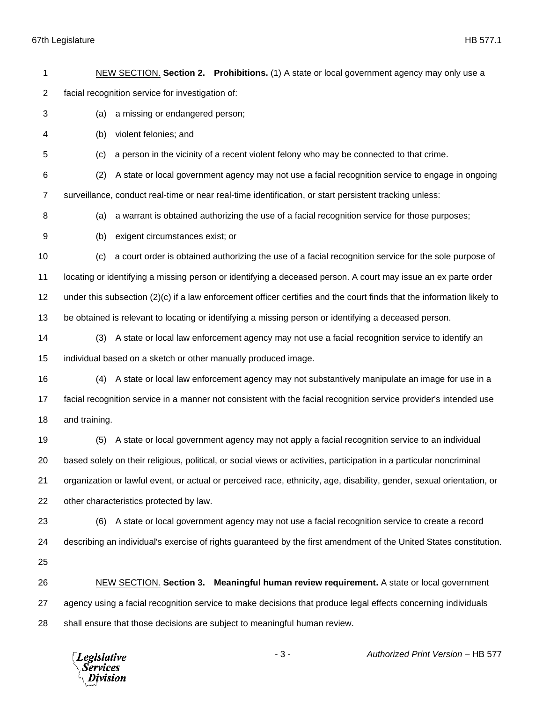## 67th Legislature HB 577.1

 NEW SECTION. **Section 2. Prohibitions.** (1) A state or local government agency may only use a facial recognition service for investigation of: (a) a missing or endangered person; (b) violent felonies; and (c) a person in the vicinity of a recent violent felony who may be connected to that crime. (2) A state or local government agency may not use a facial recognition service to engage in ongoing surveillance, conduct real-time or near real-time identification, or start persistent tracking unless: (a) a warrant is obtained authorizing the use of a facial recognition service for those purposes; (b) exigent circumstances exist; or (c) a court order is obtained authorizing the use of a facial recognition service for the sole purpose of locating or identifying a missing person or identifying a deceased person. A court may issue an ex parte order under this subsection (2)(c) if a law enforcement officer certifies and the court finds that the information likely to be obtained is relevant to locating or identifying a missing person or identifying a deceased person. (3) A state or local law enforcement agency may not use a facial recognition service to identify an individual based on a sketch or other manually produced image. (4) A state or local law enforcement agency may not substantively manipulate an image for use in a facial recognition service in a manner not consistent with the facial recognition service provider's intended use and training. (5) A state or local government agency may not apply a facial recognition service to an individual based solely on their religious, political, or social views or activities, participation in a particular noncriminal organization or lawful event, or actual or perceived race, ethnicity, age, disability, gender, sexual orientation, or other characteristics protected by law. (6) A state or local government agency may not use a facial recognition service to create a record describing an individual's exercise of rights guaranteed by the first amendment of the United States constitution. NEW SECTION. **Section 3. Meaningful human review requirement.** A state or local government agency using a facial recognition service to make decisions that produce legal effects concerning individuals shall ensure that those decisions are subject to meaningful human review.

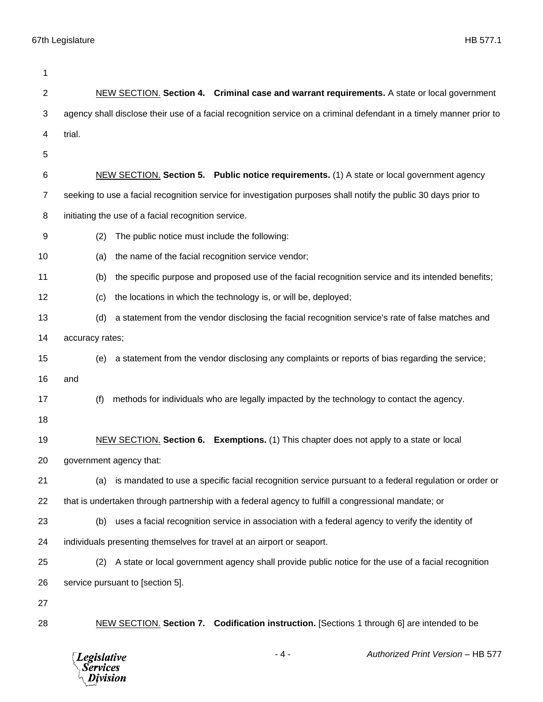| 1              |                                                                                                                     |
|----------------|---------------------------------------------------------------------------------------------------------------------|
| $\overline{2}$ | NEW SECTION. Section 4. Criminal case and warrant requirements. A state or local government                         |
| 3              | agency shall disclose their use of a facial recognition service on a criminal defendant in a timely manner prior to |
| 4              | trial.                                                                                                              |
| 5              |                                                                                                                     |
| 6              | NEW SECTION. Section 5. Public notice requirements. (1) A state or local government agency                          |
| $\overline{7}$ | seeking to use a facial recognition service for investigation purposes shall notify the public 30 days prior to     |
| 8              | initiating the use of a facial recognition service.                                                                 |
| 9              | (2)<br>The public notice must include the following:                                                                |
| 10             | the name of the facial recognition service vendor;<br>(a)                                                           |
| 11             | the specific purpose and proposed use of the facial recognition service and its intended benefits;<br>(b)           |
| 12             | the locations in which the technology is, or will be, deployed;<br>(c)                                              |
| 13             | a statement from the vendor disclosing the facial recognition service's rate of false matches and<br>(d)            |
| 14             | accuracy rates;                                                                                                     |
| 15             | a statement from the vendor disclosing any complaints or reports of bias regarding the service;<br>(e)              |
| 16             | and                                                                                                                 |
| 17             | (f)<br>methods for individuals who are legally impacted by the technology to contact the agency.                    |
| 18             |                                                                                                                     |
| 19             | NEW SECTION. Section 6. Exemptions. (1) This chapter does not apply to a state or local                             |
| 20             | government agency that:                                                                                             |
| 21             | is mandated to use a specific facial recognition service pursuant to a federal regulation or order or<br>(a)        |
| 22             | that is undertaken through partnership with a federal agency to fulfill a congressional mandate; or                 |
| 23             | uses a facial recognition service in association with a federal agency to verify the identity of<br>(b)             |
| 24             | individuals presenting themselves for travel at an airport or seaport.                                              |
| 25             | A state or local government agency shall provide public notice for the use of a facial recognition<br>(2)           |
| 26             | service pursuant to [section 5].                                                                                    |
| 27             |                                                                                                                     |
| 28             | NEW SECTION. Section 7. Codification instruction. [Sections 1 through 6] are intended to be                         |
|                | Authorized Print Version - HB 577<br>- 4 -<br><b>Legislative</b><br>Services<br>Division                            |